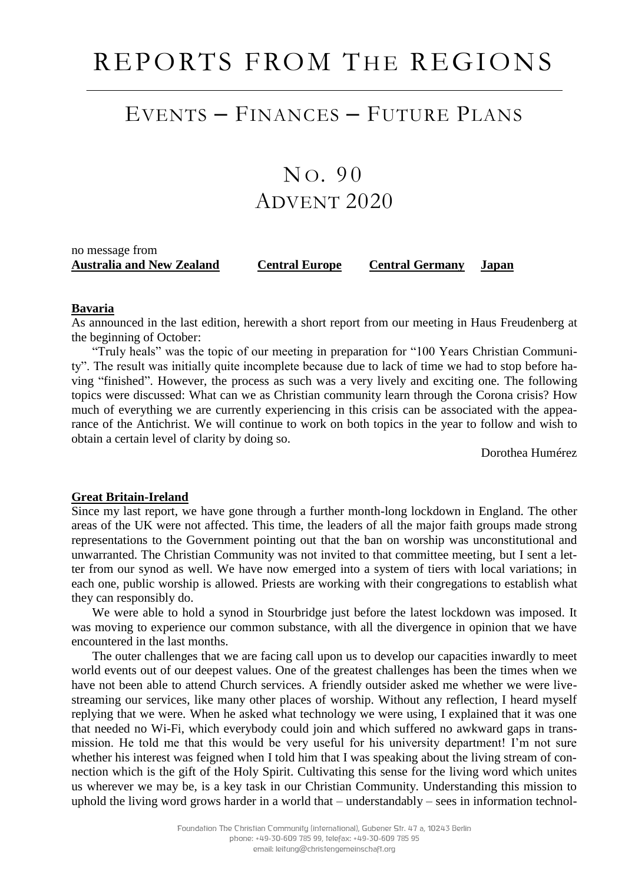# REPORTS FROM THE REGIONS

### EVENTS – FINANCES – FUTURE PLANS

## $NO.90$ ADVENT 2020

### no message from **Australia and New Zealand Central Europe Central Germany Japan**

#### **Bavaria**

As announced in the last edition, herewith a short report from our meeting in Haus Freudenberg at the beginning of October:

"Truly heals" was the topic of our meeting in preparation for "100 Years Christian Community". The result was initially quite incomplete because due to lack of time we had to stop before having "finished". However, the process as such was a very lively and exciting one. The following topics were discussed: What can we as Christian community learn through the Corona crisis? How much of everything we are currently experiencing in this crisis can be associated with the appearance of the Antichrist. We will continue to work on both topics in the year to follow and wish to obtain a certain level of clarity by doing so.

Dorothea Humérez

#### **Great Britain-Ireland**

Since my last report, we have gone through a further month-long lockdown in England. The other areas of the UK were not affected. This time, the leaders of all the major faith groups made strong representations to the Government pointing out that the ban on worship was unconstitutional and unwarranted. The Christian Community was not invited to that committee meeting, but I sent a letter from our synod as well. We have now emerged into a system of tiers with local variations; in each one, public worship is allowed. Priests are working with their congregations to establish what they can responsibly do.

We were able to hold a synod in Stourbridge just before the latest lockdown was imposed. It was moving to experience our common substance, with all the divergence in opinion that we have encountered in the last months.

The outer challenges that we are facing call upon us to develop our capacities inwardly to meet world events out of our deepest values. One of the greatest challenges has been the times when we have not been able to attend Church services. A friendly outsider asked me whether we were livestreaming our services, like many other places of worship. Without any reflection, I heard myself replying that we were. When he asked what technology we were using, I explained that it was one that needed no Wi-Fi, which everybody could join and which suffered no awkward gaps in transmission. He told me that this would be very useful for his university department! I'm not sure whether his interest was feigned when I told him that I was speaking about the living stream of connection which is the gift of the Holy Spirit. Cultivating this sense for the living word which unites us wherever we may be, is a key task in our Christian Community. Understanding this mission to uphold the living word grows harder in a world that – understandably – sees in information technol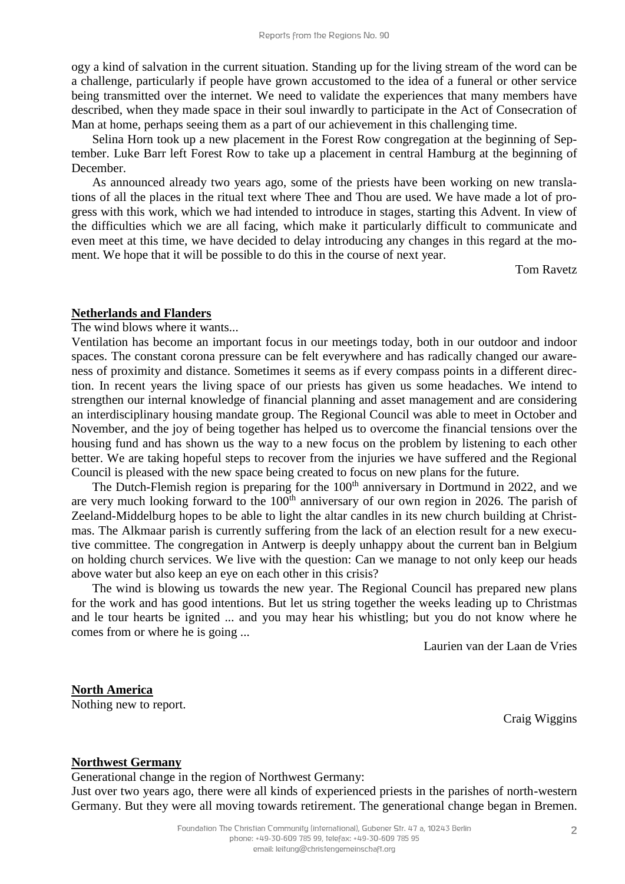ogy a kind of salvation in the current situation. Standing up for the living stream of the word can be a challenge, particularly if people have grown accustomed to the idea of a funeral or other service being transmitted over the internet. We need to validate the experiences that many members have described, when they made space in their soul inwardly to participate in the Act of Consecration of Man at home, perhaps seeing them as a part of our achievement in this challenging time.

Selina Horn took up a new placement in the Forest Row congregation at the beginning of September. Luke Barr left Forest Row to take up a placement in central Hamburg at the beginning of December.

As announced already two years ago, some of the priests have been working on new translations of all the places in the ritual text where Thee and Thou are used. We have made a lot of progress with this work, which we had intended to introduce in stages, starting this Advent. In view of the difficulties which we are all facing, which make it particularly difficult to communicate and even meet at this time, we have decided to delay introducing any changes in this regard at the moment. We hope that it will be possible to do this in the course of next year.

Tom Ravetz

#### **Netherlands and Flanders**

The wind blows where it wants...

Ventilation has become an important focus in our meetings today, both in our outdoor and indoor spaces. The constant corona pressure can be felt everywhere and has radically changed our awareness of proximity and distance. Sometimes it seems as if every compass points in a different direction. In recent years the living space of our priests has given us some headaches. We intend to strengthen our internal knowledge of financial planning and asset management and are considering an interdisciplinary housing mandate group. The Regional Council was able to meet in October and November, and the joy of being together has helped us to overcome the financial tensions over the housing fund and has shown us the way to a new focus on the problem by listening to each other better. We are taking hopeful steps to recover from the injuries we have suffered and the Regional Council is pleased with the new space being created to focus on new plans for the future.

The Dutch-Flemish region is preparing for the 100<sup>th</sup> anniversary in Dortmund in 2022, and we are very much looking forward to the 100<sup>th</sup> anniversary of our own region in 2026. The parish of Zeeland-Middelburg hopes to be able to light the altar candles in its new church building at Christmas. The Alkmaar parish is currently suffering from the lack of an election result for a new executive committee. The congregation in Antwerp is deeply unhappy about the current ban in Belgium on holding church services. We live with the question: Can we manage to not only keep our heads above water but also keep an eye on each other in this crisis?

The wind is blowing us towards the new year. The Regional Council has prepared new plans for the work and has good intentions. But let us string together the weeks leading up to Christmas and le tour hearts be ignited ... and you may hear his whistling; but you do not know where he comes from or where he is going ...

Laurien van der Laan de Vries

**North America** Nothing new to report.

Craig Wiggins

#### **Northwest Germany**

Generational change in the region of Northwest Germany:

Just over two years ago, there were all kinds of experienced priests in the parishes of north-western Germany. But they were all moving towards retirement. The generational change began in Bremen.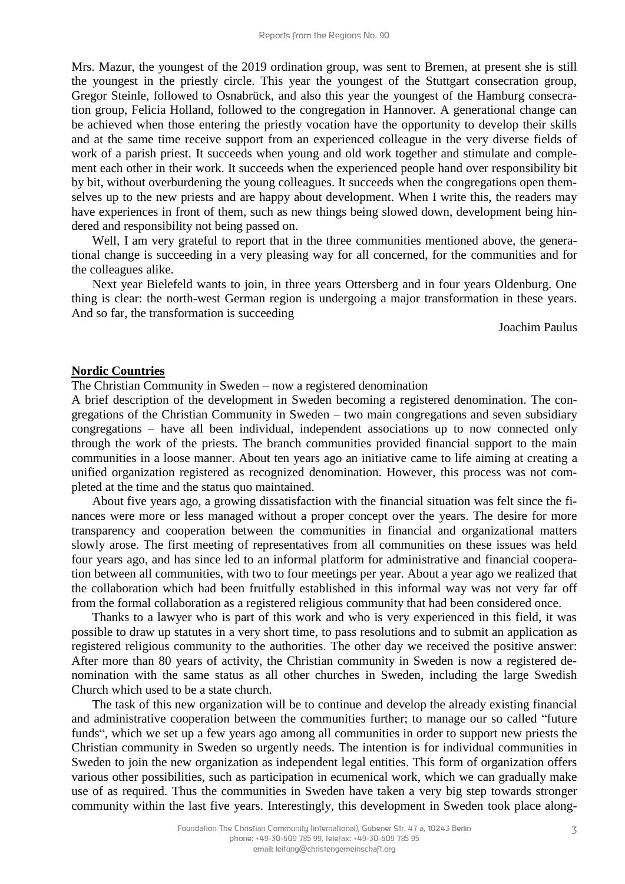Mrs. Mazur, the youngest of the 2019 ordination group, was sent to Bremen, at present she is still the youngest in the priestly circle. This year the youngest of the Stuttgart consecration group, Gregor Steinle, followed to Osnabrück, and also this year the youngest of the Hamburg consecration group, Felicia Holland, followed to the congregation in Hannover. A generational change can be achieved when those entering the priestly vocation have the opportunity to develop their skills and at the same time receive support from an experienced colleague in the very diverse fields of work of a parish priest. It succeeds when young and old work together and stimulate and complement each other in their work. It succeeds when the experienced people hand over responsibility bit by bit, without overburdening the young colleagues. It succeeds when the congregations open themselves up to the new priests and are happy about development. When I write this, the readers may have experiences in front of them, such as new things being slowed down, development being hindered and responsibility not being passed on.

Well, I am very grateful to report that in the three communities mentioned above, the generational change is succeeding in a very pleasing way for all concerned, for the communities and for the colleagues alike.

Next year Bielefeld wants to join, in three years Ottersberg and in four years Oldenburg. One thing is clear: the north-west German region is undergoing a major transformation in these years. And so far, the transformation is succeeding

Joachim Paulus

#### **Nordic Countries**

The Christian Community in Sweden – now a registered denomination

A brief description of the development in Sweden becoming a registered denomination. The congregations of the Christian Community in Sweden – two main congregations and seven subsidiary congregations – have all been individual, independent associations up to now connected only through the work of the priests. The branch communities provided financial support to the main communities in a loose manner. About ten years ago an initiative came to life aiming at creating a unified organization registered as recognized denomination. However, this process was not completed at the time and the status quo maintained.

About five years ago, a growing dissatisfaction with the financial situation was felt since the finances were more or less managed without a proper concept over the years. The desire for more transparency and cooperation between the communities in financial and organizational matters slowly arose. The first meeting of representatives from all communities on these issues was held four years ago, and has since led to an informal platform for administrative and financial cooperation between all communities, with two to four meetings per year. About a year ago we realized that the collaboration which had been fruitfully established in this informal way was not very far off from the formal collaboration as a registered religious community that had been considered once.

Thanks to a lawyer who is part of this work and who is very experienced in this field, it was possible to draw up statutes in a very short time, to pass resolutions and to submit an application as registered religious community to the authorities. The other day we received the positive answer: After more than 80 years of activity, the Christian community in Sweden is now a registered denomination with the same status as all other churches in Sweden, including the large Swedish Church which used to be a state church.

The task of this new organization will be to continue and develop the already existing financial and administrative cooperation between the communities further; to manage our so called "future funds", which we set up a few years ago among all communities in order to support new priests the Christian community in Sweden so urgently needs. The intention is for individual communities in Sweden to join the new organization as independent legal entities. This form of organization offers various other possibilities, such as participation in ecumenical work, which we can gradually make use of as required. Thus the communities in Sweden have taken a very big step towards stronger community within the last five years. Interestingly, this development in Sweden took place along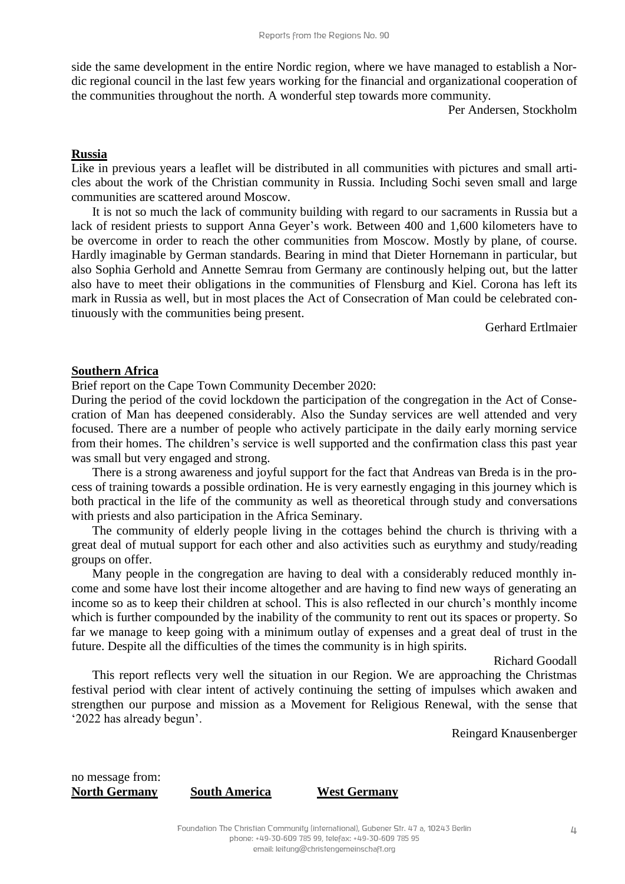side the same development in the entire Nordic region, where we have managed to establish a Nordic regional council in the last few years working for the financial and organizational cooperation of the communities throughout the north. A wonderful step towards more community.

Per Andersen, Stockholm

#### **Russia**

Like in previous years a leaflet will be distributed in all communities with pictures and small articles about the work of the Christian community in Russia. Including Sochi seven small and large communities are scattered around Moscow.

It is not so much the lack of community building with regard to our sacraments in Russia but a lack of resident priests to support Anna Geyer's work. Between 400 and 1,600 kilometers have to be overcome in order to reach the other communities from Moscow. Mostly by plane, of course. Hardly imaginable by German standards. Bearing in mind that Dieter Hornemann in particular, but also Sophia Gerhold and Annette Semrau from Germany are continously helping out, but the latter also have to meet their obligations in the communities of Flensburg and Kiel. Corona has left its mark in Russia as well, but in most places the Act of Consecration of Man could be celebrated continuously with the communities being present.

Gerhard Ertlmaier

#### **Southern Africa**

Brief report on the Cape Town Community December 2020:

During the period of the covid lockdown the participation of the congregation in the Act of Consecration of Man has deepened considerably. Also the Sunday services are well attended and very focused. There are a number of people who actively participate in the daily early morning service from their homes. The children's service is well supported and the confirmation class this past year was small but very engaged and strong.

There is a strong awareness and joyful support for the fact that Andreas van Breda is in the process of training towards a possible ordination. He is very earnestly engaging in this journey which is both practical in the life of the community as well as theoretical through study and conversations with priests and also participation in the Africa Seminary.

The community of elderly people living in the cottages behind the church is thriving with a great deal of mutual support for each other and also activities such as eurythmy and study/reading groups on offer.

Many people in the congregation are having to deal with a considerably reduced monthly income and some have lost their income altogether and are having to find new ways of generating an income so as to keep their children at school. This is also reflected in our church's monthly income which is further compounded by the inability of the community to rent out its spaces or property. So far we manage to keep going with a minimum outlay of expenses and a great deal of trust in the future. Despite all the difficulties of the times the community is in high spirits.

Richard Goodall

This report reflects very well the situation in our Region. We are approaching the Christmas festival period with clear intent of actively continuing the setting of impulses which awaken and strengthen our purpose and mission as a Movement for Religious Renewal, with the sense that '2022 has already begun'.

Reingard Knausenberger

no message from: **North Germany South America West Germany**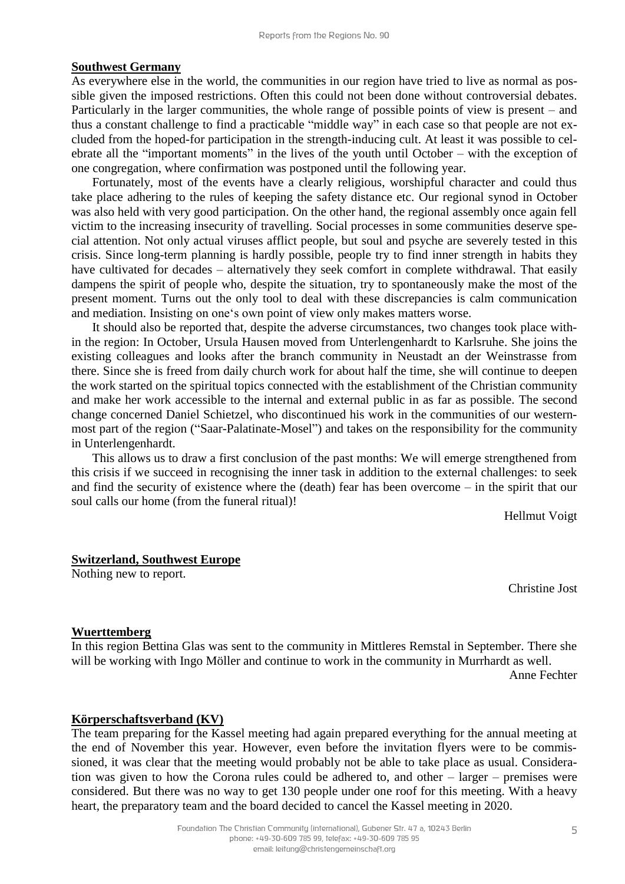#### **Southwest Germany**

As everywhere else in the world, the communities in our region have tried to live as normal as possible given the imposed restrictions. Often this could not been done without controversial debates. Particularly in the larger communities, the whole range of possible points of view is present – and thus a constant challenge to find a practicable "middle way" in each case so that people are not excluded from the hoped-for participation in the strength-inducing cult. At least it was possible to celebrate all the "important moments" in the lives of the youth until October – with the exception of one congregation, where confirmation was postponed until the following year.

Fortunately, most of the events have a clearly religious, worshipful character and could thus take place adhering to the rules of keeping the safety distance etc. Our regional synod in October was also held with very good participation. On the other hand, the regional assembly once again fell victim to the increasing insecurity of travelling. Social processes in some communities deserve special attention. Not only actual viruses afflict people, but soul and psyche are severely tested in this crisis. Since long-term planning is hardly possible, people try to find inner strength in habits they have cultivated for decades – alternatively they seek comfort in complete withdrawal. That easily dampens the spirit of people who, despite the situation, try to spontaneously make the most of the present moment. Turns out the only tool to deal with these discrepancies is calm communication and mediation. Insisting on one's own point of view only makes matters worse.

It should also be reported that, despite the adverse circumstances, two changes took place within the region: In October, Ursula Hausen moved from Unterlengenhardt to Karlsruhe. She joins the existing colleagues and looks after the branch community in Neustadt an der Weinstrasse from there. Since she is freed from daily church work for about half the time, she will continue to deepen the work started on the spiritual topics connected with the establishment of the Christian community and make her work accessible to the internal and external public in as far as possible. The second change concerned Daniel Schietzel, who discontinued his work in the communities of our westernmost part of the region ("Saar-Palatinate-Mosel") and takes on the responsibility for the community in Unterlengenhardt.

This allows us to draw a first conclusion of the past months: We will emerge strengthened from this crisis if we succeed in recognising the inner task in addition to the external challenges: to seek and find the security of existence where the (death) fear has been overcome – in the spirit that our soul calls our home (from the funeral ritual)!

Hellmut Voigt

#### **Switzerland, Southwest Europe**

Nothing new to report.

Christine Jost

#### **Wuerttemberg**

In this region Bettina Glas was sent to the community in Mittleres Remstal in September. There she will be working with Ingo Möller and continue to work in the community in Murrhardt as well.

Anne Fechter

#### **Körperschaftsverband (KV)**

The team preparing for the Kassel meeting had again prepared everything for the annual meeting at the end of November this year. However, even before the invitation flyers were to be commissioned, it was clear that the meeting would probably not be able to take place as usual. Consideration was given to how the Corona rules could be adhered to, and other – larger – premises were considered. But there was no way to get 130 people under one roof for this meeting. With a heavy heart, the preparatory team and the board decided to cancel the Kassel meeting in 2020.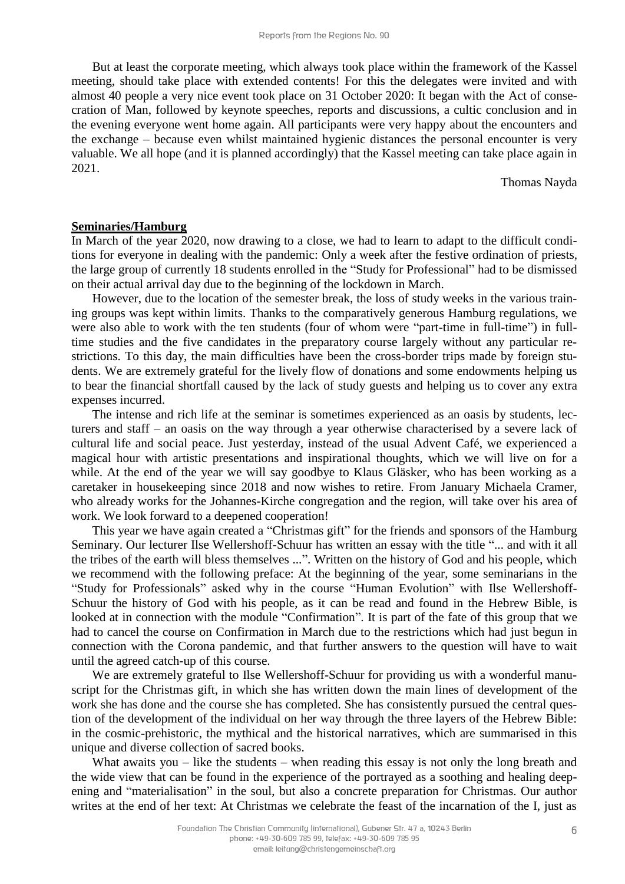But at least the corporate meeting, which always took place within the framework of the Kassel meeting, should take place with extended contents! For this the delegates were invited and with almost 40 people a very nice event took place on 31 October 2020: It began with the Act of consecration of Man, followed by keynote speeches, reports and discussions, a cultic conclusion and in the evening everyone went home again. All participants were very happy about the encounters and the exchange – because even whilst maintained hygienic distances the personal encounter is very valuable. We all hope (and it is planned accordingly) that the Kassel meeting can take place again in 2021.

Thomas Nayda

#### **Seminaries/Hamburg**

In March of the year 2020, now drawing to a close, we had to learn to adapt to the difficult conditions for everyone in dealing with the pandemic: Only a week after the festive ordination of priests, the large group of currently 18 students enrolled in the "Study for Professional" had to be dismissed on their actual arrival day due to the beginning of the lockdown in March.

However, due to the location of the semester break, the loss of study weeks in the various training groups was kept within limits. Thanks to the comparatively generous Hamburg regulations, we were also able to work with the ten students (four of whom were "part-time in full-time") in fulltime studies and the five candidates in the preparatory course largely without any particular restrictions. To this day, the main difficulties have been the cross-border trips made by foreign students. We are extremely grateful for the lively flow of donations and some endowments helping us to bear the financial shortfall caused by the lack of study guests and helping us to cover any extra expenses incurred.

The intense and rich life at the seminar is sometimes experienced as an oasis by students, lecturers and staff – an oasis on the way through a year otherwise characterised by a severe lack of cultural life and social peace. Just yesterday, instead of the usual Advent Café, we experienced a magical hour with artistic presentations and inspirational thoughts, which we will live on for a while. At the end of the year we will say goodbye to Klaus Gläsker, who has been working as a caretaker in housekeeping since 2018 and now wishes to retire. From January Michaela Cramer, who already works for the Johannes-Kirche congregation and the region, will take over his area of work. We look forward to a deepened cooperation!

This year we have again created a "Christmas gift" for the friends and sponsors of the Hamburg Seminary. Our lecturer Ilse Wellershoff-Schuur has written an essay with the title "... and with it all the tribes of the earth will bless themselves ...". Written on the history of God and his people, which we recommend with the following preface: At the beginning of the year, some seminarians in the "Study for Professionals" asked why in the course "Human Evolution" with Ilse Wellershoff-Schuur the history of God with his people, as it can be read and found in the Hebrew Bible, is looked at in connection with the module "Confirmation". It is part of the fate of this group that we had to cancel the course on Confirmation in March due to the restrictions which had just begun in connection with the Corona pandemic, and that further answers to the question will have to wait until the agreed catch-up of this course.

We are extremely grateful to Ilse Wellershoff-Schuur for providing us with a wonderful manuscript for the Christmas gift, in which she has written down the main lines of development of the work she has done and the course she has completed. She has consistently pursued the central question of the development of the individual on her way through the three layers of the Hebrew Bible: in the cosmic-prehistoric, the mythical and the historical narratives, which are summarised in this unique and diverse collection of sacred books.

What awaits you – like the students – when reading this essay is not only the long breath and the wide view that can be found in the experience of the portrayed as a soothing and healing deepening and "materialisation" in the soul, but also a concrete preparation for Christmas. Our author writes at the end of her text: At Christmas we celebrate the feast of the incarnation of the I, just as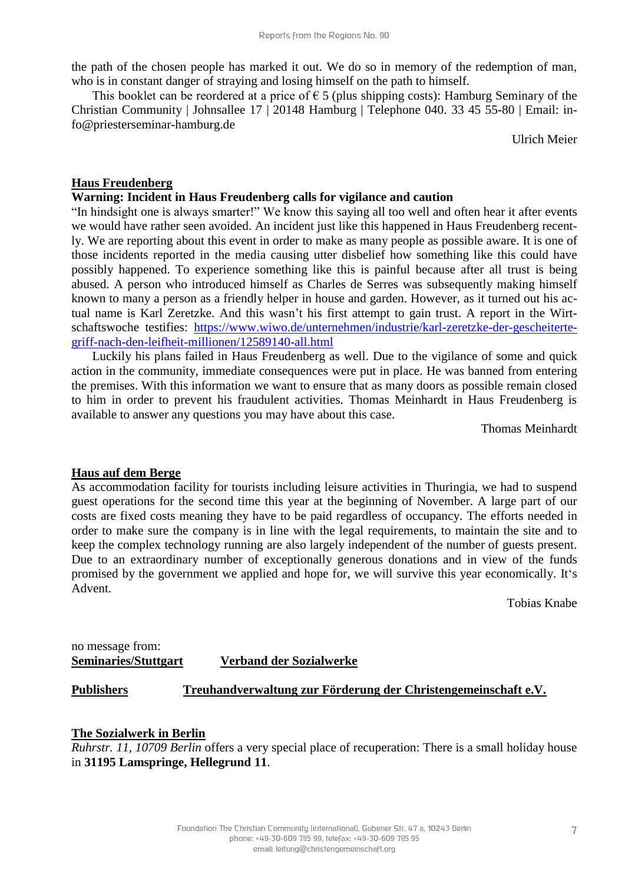the path of the chosen people has marked it out. We do so in memory of the redemption of man, who is in constant danger of straying and losing himself on the path to himself.

This booklet can be reordered at a price of  $\epsilon$  5 (plus shipping costs): Hamburg Seminary of the Christian Community | Johnsallee 17 | 20148 Hamburg | Telephone 040. 33 45 55-80 | Email: info@priesterseminar-hamburg.de

Ulrich Meier

#### **Haus Freudenberg**

#### **Warning: Incident in Haus Freudenberg calls for vigilance and caution**

"In hindsight one is always smarter!" We know this saying all too well and often hear it after events we would have rather seen avoided. An incident just like this happened in Haus Freudenberg recently. We are reporting about this event in order to make as many people as possible aware. It is one of those incidents reported in the media causing utter disbelief how something like this could have possibly happened. To experience something like this is painful because after all trust is being abused. A person who introduced himself as Charles de Serres was subsequently making himself known to many a person as a friendly helper in house and garden. However, as it turned out his actual name is Karl Zeretzke. And this wasn't his first attempt to gain trust. A report in the Wirtschaftswoche testifies: [https://www.wiwo.de/unternehmen/industrie/karl-zeretzke-der-gescheiterte](https://www.wiwo.de/unternehmen/industrie/karl-zeretzke-der-geschei%1fter%1fte-griff-nach-den-leifheit-millionen/12589140-all.html)[griff-nach-den-leifheit-millionen/12589140-all.html](https://www.wiwo.de/unternehmen/industrie/karl-zeretzke-der-geschei%1fter%1fte-griff-nach-den-leifheit-millionen/12589140-all.html)

Luckily his plans failed in Haus Freudenberg as well. Due to the vigilance of some and quick action in the community, immediate consequences were put in place. He was banned from entering the premises. With this information we want to ensure that as many doors as possible remain closed to him in order to prevent his fraudulent activities. Thomas Meinhardt in Haus Freudenberg is available to answer any questions you may have about this case.

Thomas Meinhardt

#### **Haus auf dem Berge**

As accommodation facility for tourists including leisure activities in Thuringia, we had to suspend guest operations for the second time this year at the beginning of November. A large part of our costs are fixed costs meaning they have to be paid regardless of occupancy. The efforts needed in order to make sure the company is in line with the legal requirements, to maintain the site and to keep the complex technology running are also largely independent of the number of guests present. Due to an extraordinary number of exceptionally generous donations and in view of the funds promised by the government we applied and hope for, we will survive this year economically. It's Advent.

Tobias Knabe

| no message from:            |                         |
|-----------------------------|-------------------------|
| <b>Seminaries/Stuttgart</b> | Verband der Sozialwerke |

#### **Publishers Treuhandverwaltung zur Förderung der Christengemeinschaft e.V.**

#### **The Sozialwerk in Berlin**

*Ruhrstr. 11, 10709 Berlin* offers a very special place of recuperation: There is a small holiday house in **31195 Lamspringe, Hellegrund 11**.